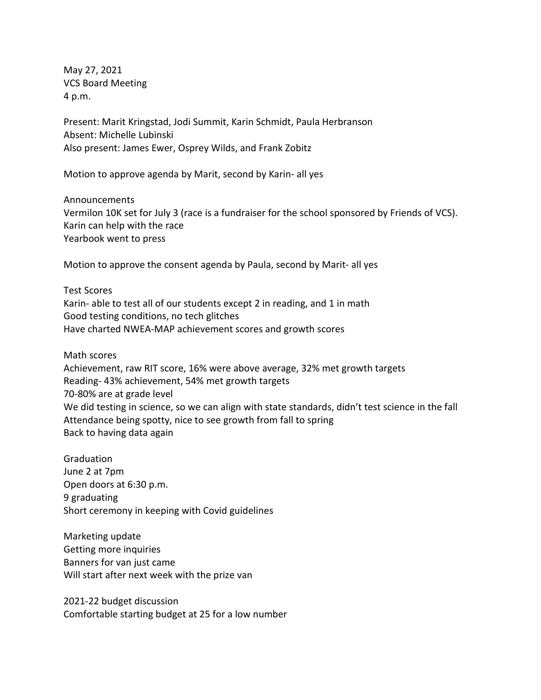May 27, 2021 VCS Board Meeting 4 p.m.

Present: Marit Kringstad, Jodi Summit, Karin Schmidt, Paula Herbranson Absent: Michelle Lubinski Also present: James Ewer, Osprey Wilds, and Frank Zobitz

Motion to approve agenda by Marit, second by Karin- all yes

Announcements Vermilon 10K set for July 3 (race is a fundraiser for the school sponsored by Friends of VCS). Karin can help with the race Yearbook went to press

Motion to approve the consent agenda by Paula, second by Marit- all yes

Test Scores Karin- able to test all of our students except 2 in reading, and 1 in math Good testing conditions, no tech glitches Have charted NWEA-MAP achievement scores and growth scores

Math scores

Achievement, raw RIT score, 16% were above average, 32% met growth targets Reading- 43% achievement, 54% met growth targets 70-80% are at grade level We did testing in science, so we can align with state standards, didn't test science in the fall Attendance being spotty, nice to see growth from fall to spring Back to having data again

**Graduation** June 2 at 7pm Open doors at 6:30 p.m. 9 graduating Short ceremony in keeping with Covid guidelines

Marketing update Getting more inquiries Banners for van just came Will start after next week with the prize van

2021-22 budget discussion Comfortable starting budget at 25 for a low number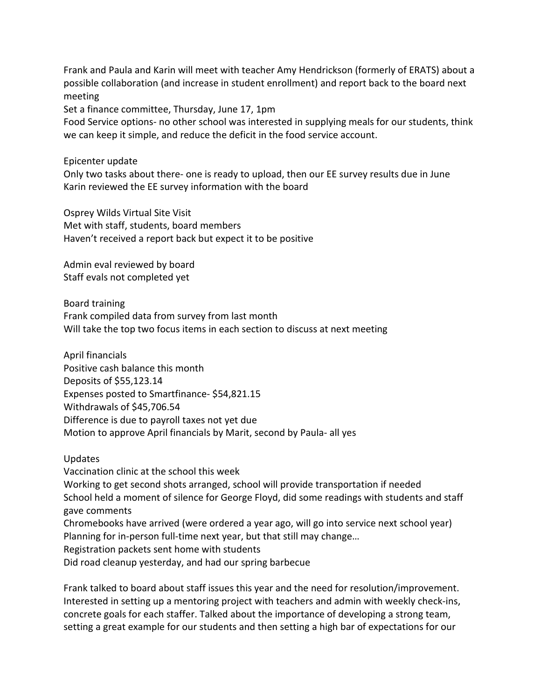Frank and Paula and Karin will meet with teacher Amy Hendrickson (formerly of ERATS) about a possible collaboration (and increase in student enrollment) and report back to the board next meeting

Set a finance committee, Thursday, June 17, 1pm

Food Service options- no other school was interested in supplying meals for our students, think we can keep it simple, and reduce the deficit in the food service account.

Epicenter update

Only two tasks about there- one is ready to upload, then our EE survey results due in June Karin reviewed the EE survey information with the board

Osprey Wilds Virtual Site Visit Met with staff, students, board members Haven't received a report back but expect it to be positive

Admin eval reviewed by board Staff evals not completed yet

Board training Frank compiled data from survey from last month Will take the top two focus items in each section to discuss at next meeting

April financials Positive cash balance this month Deposits of \$55,123.14 Expenses posted to Smartfinance- \$54,821.15 Withdrawals of \$45,706.54 Difference is due to payroll taxes not yet due Motion to approve April financials by Marit, second by Paula- all yes

Updates Vaccination clinic at the school this week Working to get second shots arranged, school will provide transportation if needed School held a moment of silence for George Floyd, did some readings with students and staff gave comments Chromebooks have arrived (were ordered a year ago, will go into service next school year) Planning for in-person full-time next year, but that still may change… Registration packets sent home with students Did road cleanup yesterday, and had our spring barbecue

Frank talked to board about staff issues this year and the need for resolution/improvement. Interested in setting up a mentoring project with teachers and admin with weekly check-ins, concrete goals for each staffer. Talked about the importance of developing a strong team, setting a great example for our students and then setting a high bar of expectations for our